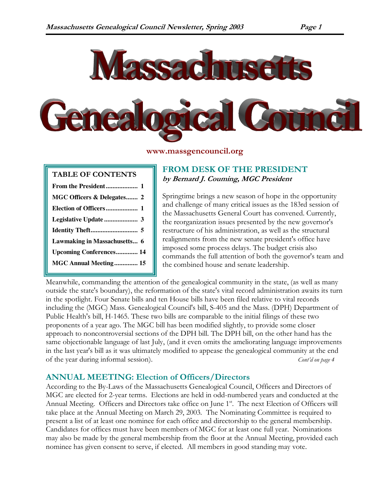

#### www.massgencouncil.org

# TABLE OF CONTENTS

| MGC Officers & Delegates 2     |
|--------------------------------|
|                                |
|                                |
|                                |
| Lawmaking in Massachusetts 6   |
| <b>Upcoming Conferences 14</b> |
| MGC Annual Meeting 15          |

**Board Meeting Schedule..........8**

# FROM DESK OF THE PRESIDENT by Bernard J. Couming, MGC President

Springtime brings a new season of hope in the opportunity and challenge of many critical issues as the 183rd session of the Massachusetts General Court has convened. Currently, the reorganization issues presented by the new governor's restructure of his administration, as well as the structural realignments from the new senate president's office have imposed some process delays. The budget crisis also commands the full attention of both the governor's team and the combined house and senate leadership.

Meanwhile, commanding the attention of the genealogical community in the state, (as well as many outside the state's boundary), the reformation of the state's vital record administration awaits its turn in the spotlight. Four Senate bills and ten House bills have been filed relative to vital records including the (MGC) Mass. Genealogical Council's bill, S-405 and the Mass. (DPH) Department of Public Health's bill, H-1465. These two bills are comparable to the initial filings of these two proponents of a year ago. The MGC bill has been modified slightly, to provide some closer approach to noncontroversial sections of the DPH bill. The DPH bill, on the other hand has the same objectionable language of last July, (and it even omits the ameliorating language improvements in the last year's bill as it was ultimately modified to appease the genealogical community at the end of the year during informal session). Cont'd on page 4

# ANNUAL MEETING: Election of Officers/Directors

According to the By-Laws of the Massachusetts Genealogical Council, Officers and Directors of MGC are elected for 2-year terms. Elections are held in odd-numbered years and conducted at the Annual Meeting. Officers and Directors take office on June 1<sup>st</sup>. The next Election of Officers will take place at the Annual Meeting on March 29, 2003. The Nominating Committee is required to present a list of at least one nominee for each office and directorship to the general membership. Candidates for offices must have been members of MGC for at least one full year. Nominations may also be made by the general membership from the floor at the Annual Meeting, provided each nominee has given consent to serve, if elected. All members in good standing may vote.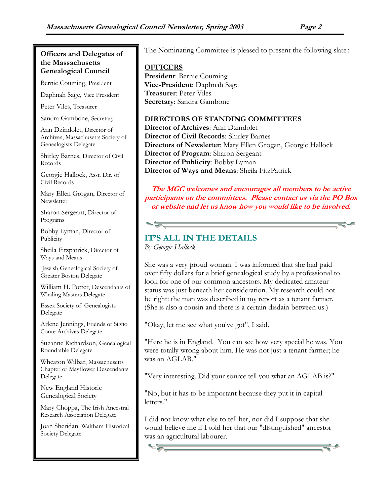### Officers and Delegates of the Massachusetts Genealogical Council

Bernie Couming, President

Daphnah Sage, Vice President

Peter Viles, Treasurer

Sandra Gambone, Secretary

Ann Dzindolet, Director of Archives, Massachusetts Society of Genealogists Delegate

Shirley Barnes, Director of Civil Records

Georgie Hallock, Asst. Dir. of Civil Records

Mary Ellen Grogan, Director of Newsletter

Sharon Sergeant, Director of Programs

Bobby Lyman, Director of Publicity

Sheila Fitzpatrick, Director of Ways and Means

 Jewish Genealogical Society of Greater Boston Delegate

William H. Potter, Descendants of Whaling Masters Delegate

Essex Society of Genealogists Delegate

Arlene Jennings, Friends of Silvio Conte Archives Delegate

Suzanne Richardson, Genealogical Roundtable Delegate

Wheaton Wilbar, Massachusetts Chapter of Mayflower Descendants Delegate

New England Historic Genealogical Society

Mary Choppa, The Irish Ancestral Research Association Delegate

Joan Sheridan, Waltham Historical Society Delegate

The Nominating Committee is pleased to present the following slate:

# **OFFICERS** President: Bernie Couming Vice-President: Daphnah Sage Treasurer: Peter Viles Secretary: Sandra Gambone

## DIRECTORS OF STANDING COMMITTEES

Director of Archives: Ann Dzindolet Director of Civil Records: Shirley Barnes Directors of Newsletter: Mary Ellen Grogan, Georgie Hallock Director of Program: Sharon Sergeant Director of Publicity: Bobby Lyman Director of Ways and Means: Sheila FitzPatrick

The MGC welcomes and encourages all members to be active participants on the committees. Please contact us via the PO Box or website and let us know how you would like to be involved.

# IT'S ALL IN THE DETAILS

By Georgie Hallock

She was a very proud woman. I was informed that she had paid over fifty dollars for a brief genealogical study by a professional to look for one of our common ancestors. My dedicated amateur status was just beneath her consideration. My research could not be right: the man was described in my report as a tenant farmer. (She is also a cousin and there is a certain disdain between us.)

"Okay, let me see what you've got", I said.

"Here he is in England. You can see how very special he was. You were totally wrong about him. He was not just a tenant farmer; he was an AGLAB."

"Very interesting. Did your source tell you what an AGLAB is?"

"No, but it has to be important because they put it in capital letters."

I did not know what else to tell her, nor did I suppose that she would believe me if I told her that our "distinguished" ancestor was an agricultural labourer.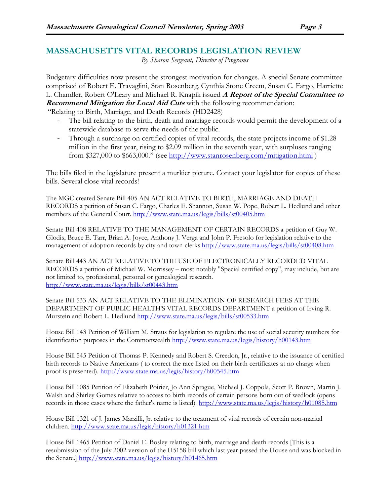# MASSACHUSETTS VITAL RECORDS LEGISLATION REVIEW

By Sharon Sergeant, Director of Programs

Budgetary difficulties now present the strongest motivation for changes. A special Senate committee comprised of Robert E. Travaglini, Stan Rosenberg, Cynthia Stone Creem, Susan C. Fargo, Harriette L. Chandler, Robert O'Leary and Michael R. Knapik issued A Report of the Special Committee to Recommend Mitigation for Local Aid Cuts with the following recommendation:

"Relating to Birth, Marriage, and Death Records (HD2428)

- The bill relating to the birth, death and marriage records would permit the development of a statewide database to serve the needs of the public.
- Through a surcharge on certified copies of vital records, the state projects income of \$1.28 million in the first year, rising to \$2.09 million in the seventh year, with surpluses ranging from \$327,000 to \$663,000." (see http://www.stanrosenberg.com/mitigation.html )

The bills filed in the legislature present a murkier picture. Contact your legislator for copies of these bills. Several close vital records!

The MGC created Senate Bill 405 AN ACT RELATIVE TO BIRTH, MARRIAGE AND DEATH RECORDS a petition of Susan C. Fargo, Charles E. Shannon, Susan W. Pope, Robert L. Hedlund and other members of the General Court. http://www.state.ma.us/legis/bills/st00405.htm

Senate Bill 408 RELATIVE TO THE MANAGEMENT OF CERTAIN RECORDS a petition of Guy W. Glodis, Bruce E. Tarr, Brian A. Joyce, Anthony J. Verga and John P. Fresolo for legislation relative to the management of adoption records by city and town clerks http://www.state.ma.us/legis/bills/st00408.htm

Senate Bill 443 AN ACT RELATIVE TO THE USE OF ELECTRONICALLY RECORDED VITAL RECORDS a petition of Michael W. Morrissey – most notably "Special certified copy", may include, but are not limited to, professional, personal or genealogical research. http://www.state.ma.us/legis/bills/st00443.htm

Senate Bill 533 AN ACT RELATIVE TO THE ELIMINATION OF RESEARCH FEES AT THE DEPARTMENT OF PUBLIC HEALTH'S VITAL RECORDS DEPARTMENT a petition of Irving R. Murstein and Robert L. Hedlund http://www.state.ma.us/legis/bills/st00533.htm

House Bill 143 Petition of William M. Straus for legislation to regulate the use of social security numbers for identification purposes in the Commonwealth http://www.state.ma.us/legis/history/h00143.htm

House Bill 545 Petition of Thomas P. Kennedy and Robert S. Creedon, Jr., relative to the issuance of certified birth records to Native Americans ( to correct the race listed on their birth certificates at no charge when proof is presented). http://www.state.ma.us/legis/history/h00545.htm

House Bill 1085 Petition of Elizabeth Poirier, Jo Ann Sprague, Michael J. Coppola, Scott P. Brown, Martin J. Walsh and Shirley Gomes relative to access to birth records of certain persons born out of wedlock (opens records in those cases where the father's name is listed). http://www.state.ma.us/legis/history/h01085.htm

House Bill 1321 of J. James Marzilli, Jr. relative to the treatment of vital records of certain non-marital children. http://www.state.ma.us/legis/history/h01321.htm

House Bill 1465 Petition of Daniel E. Bosley relating to birth, marriage and death records [This is a resubmission of the July 2002 version of the H5158 bill which last year passed the House and was blocked in the Senate.] http://www.state.ma.us/legis/history/h01465.htm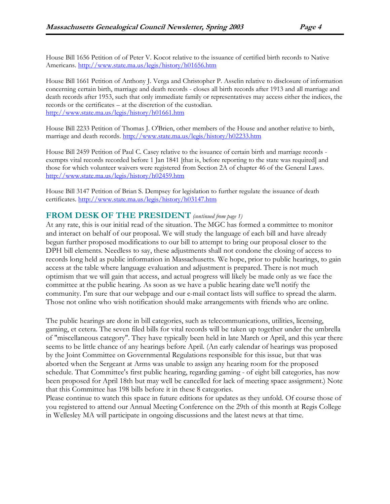House Bill 1656 Petition of of Peter V. Kocot relative to the issuance of certified birth records to Native Americans. http://www.state.ma.us/legis/history/h01656.htm

House Bill 1661 Petition of Anthony J. Verga and Christopher P. Asselin relative to disclosure of information concerning certain birth, marriage and death records - closes all birth records after 1913 and all marriage and death records after 1953, such that only immediate family or representatives may access either the indices, the records or the certificates – at the discretion of the custodian. http://www.state.ma.us/legis/history/h01661.htm

House Bill 2233 Petition of Thomas J. O'Brien, other members of the House and another relative to birth, marriage and death records. http://www.state.ma.us/legis/history/h02233.htm

House Bill 2459 Petition of Paul C. Casey relative to the issuance of certain birth and marriage records exempts vital records recorded before 1 Jan 1841 [that is, before reporting to the state was required] and those for which volunteer waivers were registered from Section 2A of chapter 46 of the General Laws. http://www.state.ma.us/legis/history/h02459.htm

House Bill 3147 Petition of Brian S. Dempsey for legislation to further regulate the issuance of death certificates. http://www.state.ma.us/legis/history/h03147.htm

#### FROM DESK OF THE PRESIDENT (continued from page 1)

At any rate, this is our initial read of the situation. The MGC has formed a committee to monitor and interact on behalf of our proposal. We will study the language of each bill and have already begun further proposed modifications to our bill to attempt to bring our proposal closer to the DPH bill elements. Needless to say, these adjustments shall not condone the closing of access to records long held as public information in Massachusetts. We hope, prior to public hearings, to gain access at the table where language evaluation and adjustment is prepared. There is not much optimism that we will gain that access, and actual progress will likely be made only as we face the committee at the public hearing. As soon as we have a public hearing date we'll notify the community. I'm sure that our webpage and our e-mail contact lists will suffice to spread the alarm. Those not online who wish notification should make arrangements with friends who are online.

The public hearings are done in bill categories, such as telecommunications, utilities, licensing, gaming, et cetera. The seven filed bills for vital records will be taken up together under the umbrella of "miscellaneous category". They have typically been held in late March or April, and this year there seems to be little chance of any hearings before April. (An early calendar of hearings was proposed by the Joint Committee on Governmental Regulations responsible for this issue, but that was aborted when the Sergeant at Arms was unable to assign any hearing room for the proposed schedule. That Committee's first public hearing, regarding gaming - of eight bill categories, has now been proposed for April 18th but may well be cancelled for lack of meeting space assignment.) Note that this Committee has 198 bills before it in these 8 categories.

Please continue to watch this space in future editions for updates as they unfold. Of course those of you registered to attend our Annual Meeting Conference on the 29th of this month at Regis College in Wellesley MA will participate in ongoing discussions and the latest news at that time.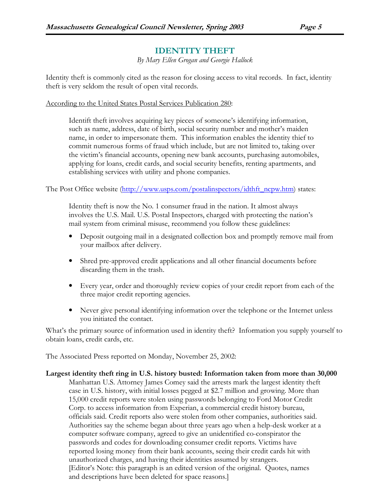# IDENTITY THEFT

By Mary Ellen Grogan and Georgie Hallock

Identity theft is commonly cited as the reason for closing access to vital records. In fact, identity theft is very seldom the result of open vital records.

According to the United States Postal Services Publication 280:

Identift theft involves acquiring key pieces of someone's identifying information, such as name, address, date of birth, social security number and mother's maiden name, in order to impersonate them. This information enables the identity thief to commit numerous forms of fraud which include, but are not limited to, taking over the victim's financial accounts, opening new bank accounts, purchasing automobiles, applying for loans, credit cards, and social security benefits, renting apartments, and establishing services with utility and phone companies.

The Post Office website (http://www.usps.com/postalinspectors/idthft\_ncpw.htm) states:

Identity theft is now the No. 1 consumer fraud in the nation. It almost always involves the U.S. Mail. U.S. Postal Inspectors, charged with protecting the nation's mail system from criminal misuse, recommend you follow these guidelines:

- Deposit outgoing mail in a designated collection box and promptly remove mail from your mailbox after delivery.
- Shred pre-approved credit applications and all other financial documents before discarding them in the trash.
- Every year, order and thoroughly review copies of your credit report from each of the three major credit reporting agencies.
- Never give personal identifying information over the telephone or the Internet unless you initiated the contact.

What's the primary source of information used in identity theft? Information you supply yourself to obtain loans, credit cards, etc.

The Associated Press reported on Monday, November 25, 2002:

Largest identity theft ring in U.S. history busted: Information taken from more than 30,000 Manhattan U.S. Attorney James Comey said the arrests mark the largest identity theft case in U.S. history, with initial losses pegged at \$2.7 million and growing. More than 15,000 credit reports were stolen using passwords belonging to Ford Motor Credit Corp. to access information from Experian, a commercial credit history bureau, officials said. Credit reports also were stolen from other companies, authorities said. Authorities say the scheme began about three years ago when a help-desk worker at a computer software company, agreed to give an unidentified co-conspirator the passwords and codes for downloading consumer credit reports. Victims have reported losing money from their bank accounts, seeing their credit cards hit with unauthorized charges, and having their identities assumed by strangers. [Editor's Note: this paragraph is an edited version of the original. Quotes, names and descriptions have been deleted for space reasons.]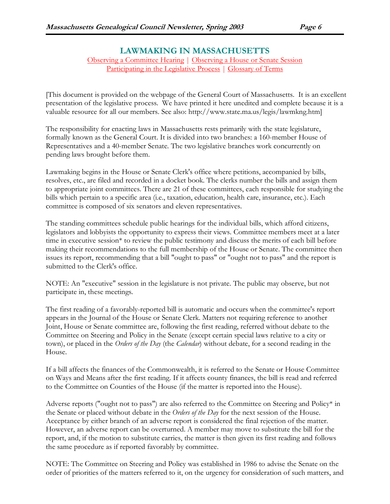# LAWMAKING IN MASSACHUSETTS Observing a Committee Hearing | Observing a House or Senate Session

Participating in the Legislative Process | Glossary of Terms

[This document is provided on the webpage of the General Court of Massachusetts. It is an excellent presentation of the legislative process. We have printed it here unedited and complete because it is a valuable resource for all our members. See also: http://www.state.ma.us/legis/lawmkng.htm]

The responsibility for enacting laws in Massachusetts rests primarily with the state legislature, formally known as the General Court. It is divided into two branches: a 160-member House of Representatives and a 40-member Senate. The two legislative branches work concurrently on pending laws brought before them.

Lawmaking begins in the House or Senate Clerk's office where petitions, accompanied by bills, resolves, etc., are filed and recorded in a docket book. The clerks number the bills and assign them to appropriate joint committees. There are 21 of these committees, each responsible for studying the bills which pertain to a specific area (i.e., taxation, education, health care, insurance, etc.). Each committee is composed of six senators and eleven representatives.

The standing committees schedule public hearings for the individual bills, which afford citizens, legislators and lobbyists the opportunity to express their views. Committee members meet at a later time in executive session\* to review the public testimony and discuss the merits of each bill before making their recommendations to the full membership of the House or Senate. The committee then issues its report, recommending that a bill "ought to pass" or "ought not to pass" and the report is submitted to the Clerk's office.

NOTE: An "executive" session in the legislature is not private. The public may observe, but not participate in, these meetings.

The first reading of a favorably-reported bill is automatic and occurs when the committee's report appears in the Journal of the House or Senate Clerk. Matters not requiring reference to another Joint, House or Senate committee are, following the first reading, referred without debate to the Committee on Steering and Policy in the Senate (except certain special laws relative to a city or town), or placed in the Orders of the Day (the Calendar) without debate, for a second reading in the House.

If a bill affects the finances of the Commonwealth, it is referred to the Senate or House Committee on Ways and Means after the first reading. If it affects county finances, the bill is read and referred to the Committee on Counties of the House (if the matter is reported into the House).

Adverse reports ("ought not to pass") are also referred to the Committee on Steering and Policy\* in the Senate or placed without debate in the *Orders of the Day* for the next session of the House. Acceptance by either branch of an adverse report is considered the final rejection of the matter. However, an adverse report can be overturned. A member may move to substitute the bill for the report, and, if the motion to substitute carries, the matter is then given its first reading and follows the same procedure as if reported favorably by committee.

NOTE: The Committee on Steering and Policy was established in 1986 to advise the Senate on the order of priorities of the matters referred to it, on the urgency for consideration of such matters, and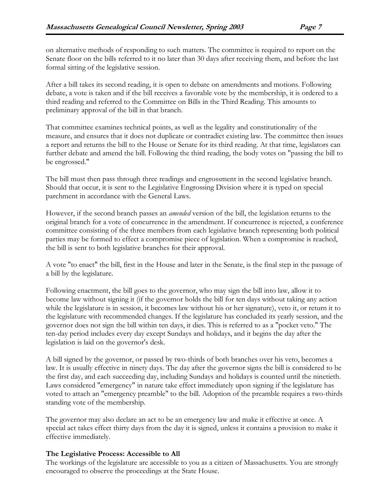on alternative methods of responding to such matters. The committee is required to report on the Senate floor on the bills referred to it no later than 30 days after receiving them, and before the last formal sitting of the legislative session.

After a bill takes its second reading, it is open to debate on amendments and motions. Following debate, a vote is taken and if the bill receives a favorable vote by the membership, it is ordered to a third reading and referred to the Committee on Bills in the Third Reading. This amounts to preliminary approval of the bill in that branch.

That committee examines technical points, as well as the legality and constitutionality of the measure, and ensures that it does not duplicate or contradict existing law. The committee then issues a report and returns the bill to the House or Senate for its third reading. At that time, legislators can further debate and amend the bill. Following the third reading, the body votes on "passing the bill to be engrossed."

The bill must then pass through three readings and engrossment in the second legislative branch. Should that occur, it is sent to the Legislative Engrossing Division where it is typed on special parchment in accordance with the General Laws.

However, if the second branch passes an *amended* version of the bill, the legislation returns to the original branch for a vote of concurrence in the amendment. If concurrence is rejected, a conference committee consisting of the three members from each legislative branch representing both political parties may be formed to effect a compromise piece of legislation. When a compromise is reached, the bill is sent to both legislative branches for their approval.

A vote "to enact" the bill, first in the House and later in the Senate, is the final step in the passage of a bill by the legislature.

Following enactment, the bill goes to the governor, who may sign the bill into law, allow it to become law without signing it (if the governor holds the bill for ten days without taking any action while the legislature is in session, it becomes law without his or her signature), veto it, or return it to the legislature with recommended changes. If the legislature has concluded its yearly session, and the governor does not sign the bill within ten days, it dies. This is referred to as a "pocket veto." The ten-day period includes every day except Sundays and holidays, and it begins the day after the legislation is laid on the governor's desk.

A bill signed by the governor, or passed by two-thirds of both branches over his veto, becomes a law. It is usually effective in ninety days. The day after the governor signs the bill is considered to be the first day, and each succeeding day, including Sundays and holidays is counted until the ninetieth. Laws considered "emergency" in nature take effect immediately upon signing if the legislature has voted to attach an "emergency preamble" to the bill. Adoption of the preamble requires a two-thirds standing vote of the membership.

The governor may also declare an act to be an emergency law and make it effective at once. A special act takes effect thirty days from the day it is signed, unless it contains a provision to make it effective immediately.

# The Legislative Process: Accessible to All

The workings of the legislature are accessible to you as a citizen of Massachusetts. You are strongly encouraged to observe the proceedings at the State House.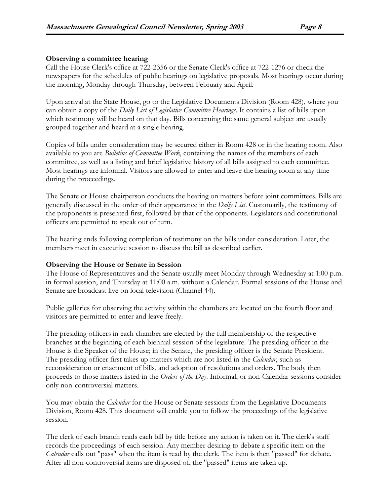#### Observing a committee hearing

Call the House Clerk's office at 722-2356 or the Senate Clerk's office at 722-1276 or check the newspapers for the schedules of public hearings on legislative proposals. Most hearings occur during the morning, Monday through Thursday, between February and April.

Upon arrival at the State House, go to the Legislative Documents Division (Room 428), where you can obtain a copy of the *Daily List of Legislative Committee Hearings*. It contains a list of bills upon which testimony will be heard on that day. Bills concerning the same general subject are usually grouped together and heard at a single hearing.

Copies of bills under consideration may be secured either in Room 428 or in the hearing room. Also available to you are Bulletins of Committee Work, containing the names of the members of each committee, as well as a listing and brief legislative history of all bills assigned to each committee. Most hearings are informal. Visitors are allowed to enter and leave the hearing room at any time during the proceedings.

The Senate or House chairperson conducts the hearing on matters before joint committees. Bills are generally discussed in the order of their appearance in the *Daily List*. Customarily, the testimony of the proponents is presented first, followed by that of the opponents. Legislators and constitutional officers are permitted to speak out of turn.

The hearing ends following completion of testimony on the bills under consideration. Later, the members meet in executive session to discuss the bill as described earlier.

#### Observing the House or Senate in Session

The House of Representatives and the Senate usually meet Monday through Wednesday at 1:00 p.m. in formal session, and Thursday at 11:00 a.m. without a Calendar. Formal sessions of the House and Senate are broadcast live on local television (Channel 44).

Public galleries for observing the activity within the chambers are located on the fourth floor and visitors are permitted to enter and leave freely.

The presiding officers in each chamber are elected by the full membership of the respective branches at the beginning of each biennial session of the legislature. The presiding officer in the House is the Speaker of the House; in the Senate, the presiding officer is the Senate President. The presiding officer first takes up matters which are not listed in the *Calendar*, such as reconsideration or enactment of bills, and adoption of resolutions and orders. The body then proceeds to those matters listed in the Orders of the Day. Informal, or non-Calendar sessions consider only non-controversial matters.

You may obtain the *Calendar* for the House or Senate sessions from the Legislative Documents Division, Room 428. This document will enable you to follow the proceedings of the legislative session.

The clerk of each branch reads each bill by title before any action is taken on it. The clerk's staff records the proceedings of each session. Any member desiring to debate a specific item on the Calendar calls out "pass" when the item is read by the clerk. The item is then "passed" for debate. After all non-controversial items are disposed of, the "passed" items are taken up.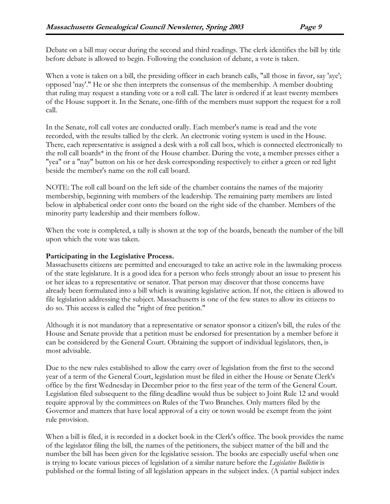Debate on a bill may occur during the second and third readings. The clerk identifies the bill by title before debate is allowed to begin. Following the conclusion of debate, a vote is taken.

When a vote is taken on a bill, the presiding officer in each branch calls, "all those in favor, say 'aye'; opposed 'nay'." He or she then interprets the consensus of the membership. A member doubting that ruling may request a standing vote or a roll call. The later is ordered if at least twenty members of the House support it. In the Senate, one-fifth of the members must support the request for a roll call.

In the Senate, roll call votes are conducted orally. Each member's name is read and the vote recorded, with the results tallied by the clerk. An electronic voting system is used in the House. There, each representative is assigned a desk with a roll call box, which is connected electronically to the roll call boards\* in the front of the House chamber. During the vote, a member presses either a "yea" or a "nay" button on his or her desk corresponding respectively to either a green or red light beside the member's name on the roll call board.

NOTE: The roll call board on the left side of the chamber contains the names of the majority membership, beginning with members of the leadership. The remaining party members are listed below in alphabetical order cont onto the board on the right side of the chamber. Members of the minority party leadership and their members follow.

When the vote is completed, a tally is shown at the top of the boards, beneath the number of the bill upon which the vote was taken.

## Participating in the Legislative Process.

Massachusetts citizens are permitted and encouraged to take an active role in the lawmaking process of the state legislature. It is a good idea for a person who feels strongly about an issue to present his or her ideas to a representative or senator. That person may discover that those concerns have already been formulated into a bill which is awaiting legislative action. If not, the citizen is allowed to file legislation addressing the subject. Massachusetts is one of the few states to allow its citizens to do so. This access is called the "right of free petition."

Although it is not mandatory that a representative or senator sponsor a citizen's bill, the rules of the House and Senate provide that a petition must be endorsed for presentation by a member before it can be considered by the General Court. Obtaining the support of individual legislators, then, is most advisable.

Due to the new rules established to allow the carry over of legislation from the first to the second year of a term of the General Court, legislation must be filed in either the House or Senate Clerk's office by the first Wednesday in December prior to the first year of the term of the General Court. Legislation filed subsequent to the filing deadline would thus be subject to Joint Rule 12 and would require approval by the committees on Rules of the Two Branches. Only matters filed by the Governor and matters that have local approval of a city or town would be exempt from the joint rule provision.

When a bill is filed, it is recorded in a docket book in the Clerk's office. The book provides the name of the legislator filing the bill, the names of the petitioners, the subject matter of the bill and the number the bill has been given for the legislative session. The books are especially useful when one is trying to locate various pieces of legislation of a similar nature before the Legislative Bulletin is published or the formal listing of all legislation appears in the subject index. (A partial subject index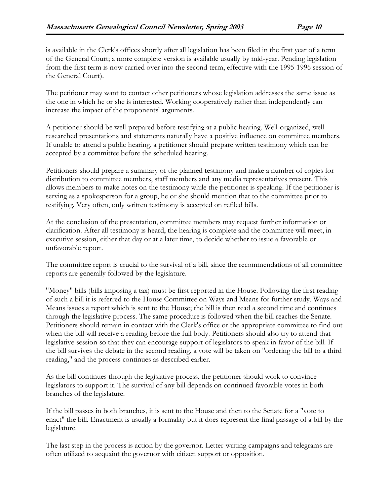is available in the Clerk's offices shortly after all legislation has been filed in the first year of a term of the General Court; a more complete version is available usually by mid-year. Pending legislation from the first term is now carried over into the second term, effective with the 1995-1996 session of the General Court).

The petitioner may want to contact other petitioners whose legislation addresses the same issue as the one in which he or she is interested. Working cooperatively rather than independently can increase the impact of the proponents' arguments.

A petitioner should be well-prepared before testifying at a public hearing. Well-organized, wellresearched presentations and statements naturally have a positive influence on committee members. If unable to attend a public hearing, a petitioner should prepare written testimony which can be accepted by a committee before the scheduled hearing.

Petitioners should prepare a summary of the planned testimony and make a number of copies for distribution to committee members, staff members and any media representatives present. This allows members to make notes on the testimony while the petitioner is speaking. If the petitioner is serving as a spokesperson for a group, he or she should mention that to the committee prior to testifying. Very often, only written testimony is accepted on refiled bills.

At the conclusion of the presentation, committee members may request further information or clarification. After all testimony is heard, the hearing is complete and the committee will meet, in executive session, either that day or at a later time, to decide whether to issue a favorable or unfavorable report.

The committee report is crucial to the survival of a bill, since the recommendations of all committee reports are generally followed by the legislature.

"Money" bills (bills imposing a tax) must be first reported in the House. Following the first reading of such a bill it is referred to the House Committee on Ways and Means for further study. Ways and Means issues a report which is sent to the House; the bill is then read a second time and continues through the legislative process. The same procedure is followed when the bill reaches the Senate. Petitioners should remain in contact with the Clerk's office or the appropriate committee to find out when the bill will receive a reading before the full body. Petitioners should also try to attend that legislative session so that they can encourage support of legislators to speak in favor of the bill. If the bill survives the debate in the second reading, a vote will be taken on "ordering the bill to a third reading," and the process continues as described earlier.

As the bill continues through the legislative process, the petitioner should work to convince legislators to support it. The survival of any bill depends on continued favorable votes in both branches of the legislature.

If the bill passes in both branches, it is sent to the House and then to the Senate for a "vote to enact" the bill. Enactment is usually a formality but it does represent the final passage of a bill by the legislature.

The last step in the process is action by the governor. Letter-writing campaigns and telegrams are often utilized to acquaint the governor with citizen support or opposition.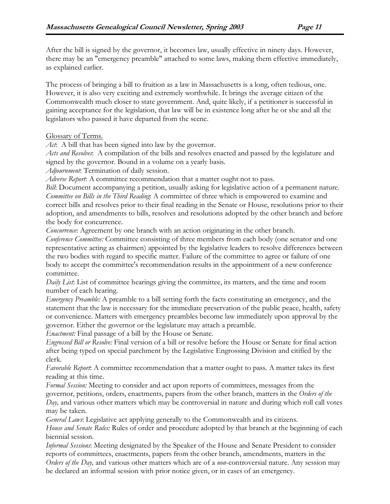After the bill is signed by the governor, it becomes law, usually effective in ninety days. However, there may be an "emergency preamble" attached to some laws, making them effective immediately, as explained earlier.

The process of bringing a bill to fruition as a law in Massachusetts is a long, often tedious, one. However, it is also very exciting and extremely worthwhile. It brings the average citizen of the Commonwealth much closer to state government. And, quite likely, if a petitioner is successful in gaining acceptance for the legislation, that law will be in existence long after he or she and all the legislators who passed it have departed from the scene.

### Glossary of Terms.

Act: A bill that has been signed into law by the governor.

Acts and Resolves: A compilation of the bills and resolves enacted and passed by the legislature and signed by the governor. Bound in a volume on a yearly basis.

Adjournment: Termination of daily session.

Adverse Report: A committee recommendation that a matter ought not to pass.

Bill: Document accompanying a petition, usually asking for legislative action of a permanent nature. Committee on Bills in the Third Reading: A committee of three which is empowered to examine and correct bills and resolves prior to their final reading in the Senate or House, resolutions prior to their adoption, and amendments to bills, resolves and resolutions adopted by the other branch and before the body for concurrence.

Concurrence: Agreement by one branch with an action originating in the other branch.

Conference Committee: Committee consisting of three members from each body (one senator and one representative acting as chairmen) appointed by the legislative leaders to resolve differences between the two bodies with regard to specific matter. Failure of the committee to agree or failure of one body to accept the committee's recommendation results in the appointment of a new conference committee.

Daily List: List of committee hearings giving the committee, its matters, and the time and room number of each hearing.

Emergency Preamble: A preamble to a bill setting forth the facts constituting an emergency, and the statement that the law is necessary for the immediate preservation of the public peace, health, safety or convenience. Matters with emergency preambles become law immediately upon approval by the governor. Either the governor or the legislature may attach a preamble.

Enactment: Final passage of a bill by the House or Senate.

Engrossed Bill or Resolve: Final version of a bill or resolve before the House or Senate for final action after being typed on special parchment by the Legislative Engrossing Division and citified by the clerk.

Favorable Report: A committee recommendation that a matter ought to pass. A matter takes its first reading at this time.

Formal Session: Meeting to consider and act upon reports of committees, messages from the governor, petitions, orders, enactments, papers from the other branch, matters in the Orders of the Day, and various other matters which may be controversial in nature and during which roll call votes may be taken.

General Laws: Legislative act applying generally to the Commonwealth and its citizens.

House and Senate Rules: Rules of order and procedure adopted by that branch at the beginning of each biennial session.

Informal Sessions: Meeting designated by the Speaker of the House and Senate President to consider reports of committees, enactments, papers from the other branch, amendments, matters in the Orders of the Day, and various other matters which are of a non-controversial nature. Any session may be declared an informal session with prior notice given, or in cases of an emergency.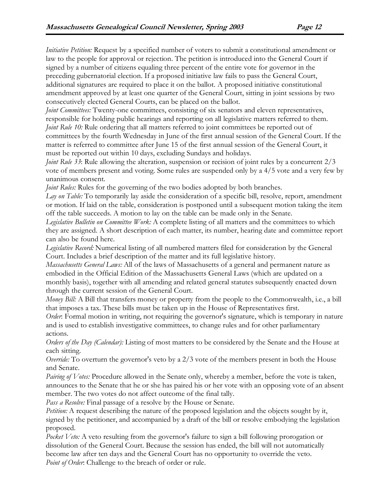Initiative Petition: Request by a specified number of voters to submit a constitutional amendment or law to the people for approval or rejection. The petition is introduced into the General Court if signed by a number of citizens equaling three percent of the entire vote for governor in the preceding gubernatorial election. If a proposed initiative law fails to pass the General Court, additional signatures are required to place it on the ballot. A proposed initiative constitutional amendment approved by at least one quarter of the General Court, sitting in joint sessions by two consecutively elected General Courts, can be placed on the ballot.

*Joint Committees:* Twenty-one committees, consisting of six senators and eleven representatives, responsible for holding public hearings and reporting on all legislative matters referred to them. *Joint Rule 10:* Rule ordering that all matters referred to joint committees be reported out of committees by the fourth Wednesday in June of the first annual session of the General Court. If the matter is referred to committee after June 15 of the first annual session of the General Court, it must be reported out within 10 days, excluding Sundays and holidays.

Joint Rule 33: Rule allowing the alteration, suspension or recision of joint rules by a concurrent 2/3 vote of members present and voting. Some rules are suspended only by a 4/5 vote and a very few by unanimous consent.

Joint Rules: Rules for the governing of the two bodies adopted by both branches.

Lay on Table: To temporarily lay aside the consideration of a specific bill, resolve, report, amendment or motion. If laid on the table, consideration is postponed until a subsequent motion taking the item off the table succeeds. A motion to lay on the table can be made only in the Senate.

Legislative Bulletin on Committee Work: A complete listing of all matters and the committees to which they are assigned. A short description of each matter, its number, hearing date and committee report can also be found here.

Legislative Record: Numerical listing of all numbered matters filed for consideration by the General Court. Includes a brief description of the matter and its full legislative history.

Massachusetts General Laws: All of the laws of Massachusetts of a general and permanent nature as embodied in the Official Edition of the Massachusetts General Laws (which are updated on a monthly basis), together with all amending and related general statutes subsequently enacted down through the current session of the General Court.

Money Bill: A Bill that transfers money or property from the people to the Commonwealth, i.e., a bill that imposes a tax. These bills must be taken up in the House of Representatives first.

Order: Formal motion in writing, not requiring the governor's signature, which is temporary in nature and is used to establish investigative committees, to change rules and for other parliamentary actions.

Orders of the Day (Calendar): Listing of most matters to be considered by the Senate and the House at each sitting.

Override: To overturn the governor's veto by a 2/3 vote of the members present in both the House and Senate.

*Pairing of Votes:* Procedure allowed in the Senate only, whereby a member, before the vote is taken, announces to the Senate that he or she has paired his or her vote with an opposing vote of an absent member. The two votes do not affect outcome of the final tally.

Pass a Resolve: Final passage of a resolve by the House or Senate.

Petition: A request describing the nature of the proposed legislation and the objects sought by it, signed by the petitioner, and accompanied by a draft of the bill or resolve embodying the legislation proposed.

Pocket Veto: A veto resulting from the governor's failure to sign a bill following prorogation or dissolution of the General Court. Because the session has ended, the bill will not automatically become law after ten days and the General Court has no opportunity to override the veto. Point of Order: Challenge to the breach of order or rule.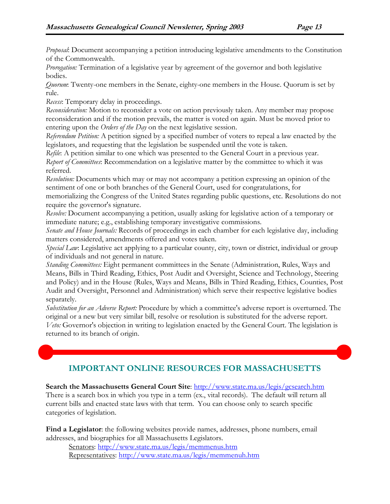Proposal: Document accompanying a petition introducing legislative amendments to the Constitution of the Commonwealth.

Prorogation: Termination of a legislative year by agreement of the governor and both legislative bodies.

Quorum: Twenty-one members in the Senate, eighty-one members in the House. Quorum is set by rule.

Recess: Temporary delay in proceedings.

Reconsideration: Motion to reconsider a vote on action previously taken. Any member may propose reconsideration and if the motion prevails, the matter is voted on again. Must be moved prior to entering upon the Orders of the Day on the next legislative session.

Referendum Petition: A petition signed by a specified number of voters to repeal a law enacted by the legislators, and requesting that the legislation be suspended until the vote is taken.

Refile: A petition similar to one which was presented to the General Court in a previous year. Report of Committees: Recommendation on a legislative matter by the committee to which it was referred.

Resolution: Documents which may or may not accompany a petition expressing an opinion of the sentiment of one or both branches of the General Court, used for congratulations, for memorializing the Congress of the United States regarding public questions, etc. Resolutions do not require the governor's signature.

Resolve: Document accompanying a petition, usually asking for legislative action of a temporary or immediate nature; e.g., establishing temporary investigative commissions.

Senate and House Journals: Records of proceedings in each chamber for each legislative day, including matters considered, amendments offered and votes taken.

Special Law: Legislative act applying to a particular county, city, town or district, individual or group of individuals and not general in nature.

Standing Committees: Eight permanent committees in the Senate (Administration, Rules, Ways and Means, Bills in Third Reading, Ethics, Post Audit and Oversight, Science and Technology, Steering and Policy) and in the House (Rules, Ways and Means, Bills in Third Reading, Ethics, Counties, Post Audit and Oversight, Personnel and Administration) which serve their respective legislative bodies separately.

Substitution for an Adverse Report: Procedure by which a committee's adverse report is overturned. The original or a new but very similar bill, resolve or resolution is substituted for the adverse report. Veto: Governor's objection in writing to legislation enacted by the General Court. The legislation is returned to its branch of origin.

# IMPORTANT ONLINE RESOURCES FOR MASSACHUSETTS

Search the Massachusetts General Court Site: http://www.state.ma.us/legis/gcsearch.htm

There is a search box in which you type in a term (ex., vital records). The default will return all current bills and enacted state laws with that term. You can choose only to search specific categories of legislation.

Find a Legislator: the following websites provide names, addresses, phone numbers, email addresses, and biographies for all Massachusetts Legislators.

 Senators: http://www.state.ma.us/legis/memmenus.htm Representatives: http://www.state.ma.us/legis/memmenuh.htm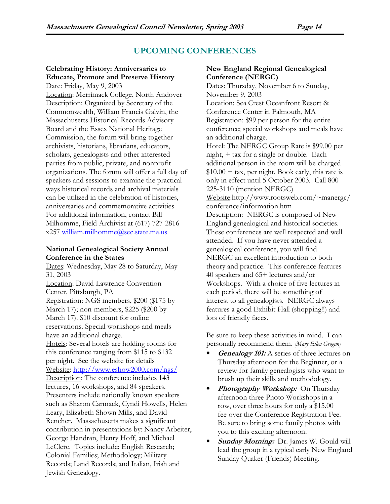# UPCOMING CONFERENCES

# Celebrating History: Anniversaries to Educate, Promote and Preserve History

Date: Friday, May 9, 2003 Location: Merrimack College, North Andover Description: Organized by Secretary of the Commonwealth, William Francis Galvin, the Massachusetts Historical Records Advisory Board and the Essex National Heritage Commission, the forum will bring together archivists, historians, librarians, educators, scholars, genealogists and other interested parties from public, private, and nonprofit organizations. The forum will offer a full day of speakers and sessions to examine the practical ways historical records and archival materials can be utilized in the celebration of histories, anniversaries and commemorative activities. For additional information, contact Bill Milhomme, Field Archivist at (617) 727-2816 x257 william.milhomme@sec.state.ma.us

#### National Genealogical Society Annual Conference in the States

Dates: Wednesday, May 28 to Saturday, May 31, 2003 Location: David Lawrence Convention Center, Pittsburgh, PA Registration: NGS members, \$200 (\$175 by March 17); non-members, \$225 (\$200 by March 17). \$10 discount for online reservations. Special workshops and meals have an additional charge. Hotels: Several hotels are holding rooms for this conference ranging from \$115 to \$132 per night. See the website for details Website: http://www.eshow2000.com/ngs/ Description: The conference includes 143 lectures, 16 workshops, and 84 speakers. Presenters include nationally known speakers such as Sharon Carmack, Cyndi Howells, Helen Leary, Elizabeth Shown Mills, and David Rencher. Massachusetts makes a significant contribution in presentations by: Nancy Arbeiter, George Handran, Henry Hoff, and Michael LeClerc. Topics include: English Research; Colonial Families; Methodology; Military Records; Land Records; and Italian, Irish and Jewish Genealogy.

## New England Regional Genealogical Conference (NERGC)

Dates: Thursday, November 6 to Sunday, November 9, 2003 Location: Sea Crest Oceanfront Resort & Conference Center in Falmouth, MA Registration: \$99 per person for the entire conference; special workshops and meals have an additional charge. Hotel: The NERGC Group Rate is \$99.00 per night, + tax for a single or double. Each additional person in the room will be charged  $$10.00 + tax$ , per night. Book early, this rate is only in effect until 5 October 2003. Call 800- 225-3110 (mention NERGC) Website:http://www.rootsweb.com/~manergc/ conference/information.htm Description: NERGC is composed of New England genealogical and historical societies. These conferences are well respected and well attended. If you have never attended a genealogical conference, you will find NERGC an excellent introduction to both theory and practice. This conference features 40 speakers and 65+ lectures and/or Workshops. With a choice of five lectures in each period, there will be something of interest to all genealogists. NERGC always features a good Exhibit Hall (shopping!!) and lots of friendly faces.

Be sure to keep these activities in mind. I can personally recommend them. [Mary Ellen Grogan]

- **Genealogy 101:** A series of three lectures on Thursday afternoon for the Beginner, or a review for family genealogists who want to brush up their skills and methodology.
- **Photography Workshop:** On Thursday afternoon three Photo Workshops in a row, over three hours for only a \$15.00 fee over the Conference Registration Fee. Be sure to bring some family photos with you to this exciting afternoon.
- Sunday Morning: Dr. James W. Gould will lead the group in a typical early New England Sunday Quaker (Friends) Meeting.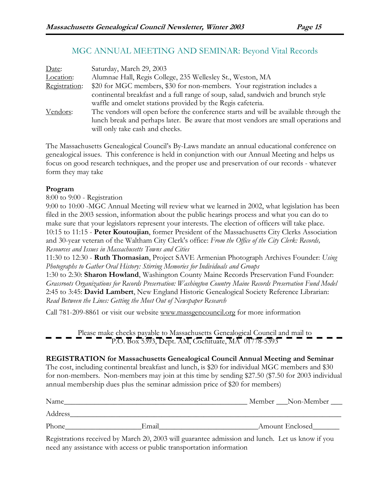# MGC ANNUAL MEETING AND SEMINAR: Beyond Vital Records

| Date:         | Saturday, March 29, 2003                                                             |  |  |
|---------------|--------------------------------------------------------------------------------------|--|--|
| Location:     | Alumnae Hall, Regis College, 235 Wellesley St., Weston, MA                           |  |  |
| Registration: | \$20 for MGC members, \$30 for non-members. Your registration includes a             |  |  |
|               | continental breakfast and a full range of soup, salad, sandwich and brunch style     |  |  |
| Vendors:      | waffle and omelet stations provided by the Regis cafeteria.                          |  |  |
|               | The vendors will open before the conference starts and will be available through the |  |  |
|               | lunch break and perhaps later. Be aware that most vendors are small operations and   |  |  |
|               | will only take cash and checks.                                                      |  |  |

The Massachusetts Genealogical Council's By-Laws mandate an annual educational conference on genealogical issues. This conference is held in conjunction with our Annual Meeting and helps us focus on good research techniques, and the proper use and preservation of our records - whatever form they may take

# Program

8:00 to 9:00 - Registration

9:00 to 10:00 -MGC Annual Meeting will review what we learned in 2002, what legislation has been filed in the 2003 session, information about the public hearings process and what you can do to make sure that your legislators represent your interests. The election of officers will take place. 10:15 to 11:15 - Peter Koutoujian, former President of the Massachusetts City Clerks Association and 30-year veteran of the Waltham City Clerk's office: From the Office of the City Clerk: Records, Resources and Issues in Massachusetts Towns and Cities

11:30 to 12:30 - Ruth Thomasian, Project SAVE Armenian Photograph Archives Founder: Using Photographs to Gather Oral History: Stirring Memories for Individuals and Groups

1:30 to 2:30: Sharon Howland, Washington County Maine Records Preservation Fund Founder: Grassroots Organizations for Records Preservation: Washington Country Maine Records Preservation Fund Model 2:45 to 3:45: David Lambert, New England Historic Genealogical Society Reference Librarian: Read Between the Lines: Getting the Most Out of Newspaper Research

Call 781-209-8861 or visit our website www.massgencouncil.org for more information

Please make checks payable to Massachusetts Genealogical Council and mail to P.O. Box 5393, Dept. AM, Cochituate, MA 01778-5393

# REGISTRATION for Massachusetts Genealogical Council Annual Meeting and Seminar

The cost, including continental breakfast and lunch, is \$20 for individual MGC members and \$30 for non-members. Non-members may join at this time by sending \$27.50 (\$7.50 for 2003 individual annual membership dues plus the seminar admission price of \$20 for members)

| Name    |       | Member Non-Member |
|---------|-------|-------------------|
| Address |       |                   |
| Phone   | Email | Amount Enclosed   |

Registrations received by March 20, 2003 will guarantee admission and lunch. Let us know if you need any assistance with access or public transportation information